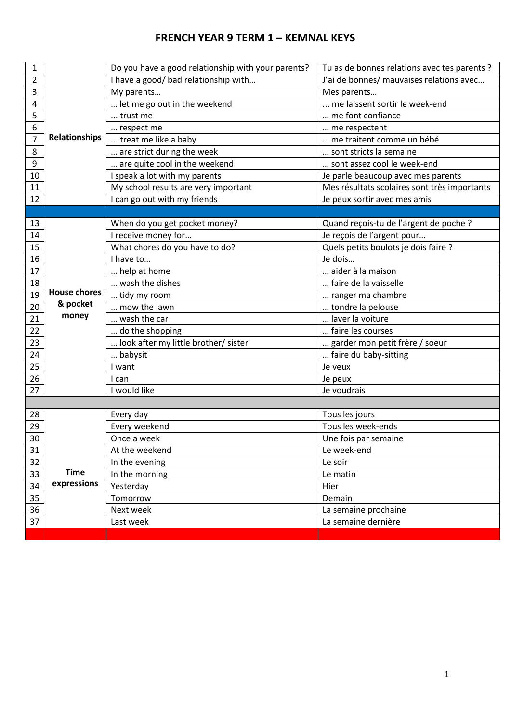# **FRENCH YEAR 9 TERM 1 – KEMNAL KEYS**

| J'ai de bonnes/ mauvaises relations avec<br>I have a good/ bad relationship with<br>$\overline{2}$<br>3<br>My parents<br>Mes parents<br>me laissent sortir le week-end<br>4<br>let me go out in the weekend<br>5<br>me font confiance<br>trust me<br>6<br>me respectent<br>respect me<br>Relationships<br>$\overline{7}$<br>treat me like a baby<br>me traitent comme un bébé<br>8<br>are strict during the week<br>sont stricts la semaine<br>9<br>are quite cool in the weekend<br>sont assez cool le week-end<br>I speak a lot with my parents<br>10<br>Je parle beaucoup avec mes parents<br>My school results are very important<br>Mes résultats scolaires sont très importants<br>11<br>I can go out with my friends<br>12<br>Je peux sortir avec mes amis<br>When do you get pocket money?<br>Quand reçois-tu de l'argent de poche ?<br>13<br>I receive money for<br>Je reçois de l'argent pour<br>14<br>Quels petits boulots je dois faire ?<br>What chores do you have to do?<br>15<br>Je dois<br>I have to<br>16<br>aider à la maison<br>help at home<br>17<br>wash the dishes<br>faire de la vaisselle<br>18<br><b>House chores</b><br>19<br>tidy my room<br>ranger ma chambre<br>& pocket<br>20<br>mow the lawn<br>tondre la pelouse<br>money<br>21<br>laver la voiture<br>wash the car<br>22<br>do the shopping<br>faire les courses<br>garder mon petit frère / soeur<br>look after my little brother/ sister<br>23<br>faire du baby-sitting<br>24<br>babysit<br>25<br>I want<br>Je veux<br>26<br>I can<br>Je peux<br>I would like<br>27<br>Je voudrais<br>28<br>Every day<br>Tous les jours<br>Every weekend<br>Tous les week-ends<br>29<br>30<br>Once a week<br>Une fois par semaine<br>31<br>At the weekend<br>Le week-end<br>32<br>In the evening<br>Le soir<br><b>Time</b><br>In the morning<br>33<br>Le matin<br>expressions<br>34<br>Yesterday<br>Hier<br>35<br>Demain<br>Tomorrow<br>36<br>Next week<br>La semaine prochaine<br>37<br>Last week<br>La semaine dernière | 1 |  | Do you have a good relationship with your parents? | Tu as de bonnes relations avec tes parents ? |
|-----------------------------------------------------------------------------------------------------------------------------------------------------------------------------------------------------------------------------------------------------------------------------------------------------------------------------------------------------------------------------------------------------------------------------------------------------------------------------------------------------------------------------------------------------------------------------------------------------------------------------------------------------------------------------------------------------------------------------------------------------------------------------------------------------------------------------------------------------------------------------------------------------------------------------------------------------------------------------------------------------------------------------------------------------------------------------------------------------------------------------------------------------------------------------------------------------------------------------------------------------------------------------------------------------------------------------------------------------------------------------------------------------------------------------------------------------------------------------------------------------------------------------------------------------------------------------------------------------------------------------------------------------------------------------------------------------------------------------------------------------------------------------------------------------------------------------------------------------------------------------------------------------------------------------------------------------------------------------------------------|---|--|----------------------------------------------------|----------------------------------------------|
|                                                                                                                                                                                                                                                                                                                                                                                                                                                                                                                                                                                                                                                                                                                                                                                                                                                                                                                                                                                                                                                                                                                                                                                                                                                                                                                                                                                                                                                                                                                                                                                                                                                                                                                                                                                                                                                                                                                                                                                               |   |  |                                                    |                                              |
|                                                                                                                                                                                                                                                                                                                                                                                                                                                                                                                                                                                                                                                                                                                                                                                                                                                                                                                                                                                                                                                                                                                                                                                                                                                                                                                                                                                                                                                                                                                                                                                                                                                                                                                                                                                                                                                                                                                                                                                               |   |  |                                                    |                                              |
|                                                                                                                                                                                                                                                                                                                                                                                                                                                                                                                                                                                                                                                                                                                                                                                                                                                                                                                                                                                                                                                                                                                                                                                                                                                                                                                                                                                                                                                                                                                                                                                                                                                                                                                                                                                                                                                                                                                                                                                               |   |  |                                                    |                                              |
|                                                                                                                                                                                                                                                                                                                                                                                                                                                                                                                                                                                                                                                                                                                                                                                                                                                                                                                                                                                                                                                                                                                                                                                                                                                                                                                                                                                                                                                                                                                                                                                                                                                                                                                                                                                                                                                                                                                                                                                               |   |  |                                                    |                                              |
|                                                                                                                                                                                                                                                                                                                                                                                                                                                                                                                                                                                                                                                                                                                                                                                                                                                                                                                                                                                                                                                                                                                                                                                                                                                                                                                                                                                                                                                                                                                                                                                                                                                                                                                                                                                                                                                                                                                                                                                               |   |  |                                                    |                                              |
|                                                                                                                                                                                                                                                                                                                                                                                                                                                                                                                                                                                                                                                                                                                                                                                                                                                                                                                                                                                                                                                                                                                                                                                                                                                                                                                                                                                                                                                                                                                                                                                                                                                                                                                                                                                                                                                                                                                                                                                               |   |  |                                                    |                                              |
|                                                                                                                                                                                                                                                                                                                                                                                                                                                                                                                                                                                                                                                                                                                                                                                                                                                                                                                                                                                                                                                                                                                                                                                                                                                                                                                                                                                                                                                                                                                                                                                                                                                                                                                                                                                                                                                                                                                                                                                               |   |  |                                                    |                                              |
|                                                                                                                                                                                                                                                                                                                                                                                                                                                                                                                                                                                                                                                                                                                                                                                                                                                                                                                                                                                                                                                                                                                                                                                                                                                                                                                                                                                                                                                                                                                                                                                                                                                                                                                                                                                                                                                                                                                                                                                               |   |  |                                                    |                                              |
|                                                                                                                                                                                                                                                                                                                                                                                                                                                                                                                                                                                                                                                                                                                                                                                                                                                                                                                                                                                                                                                                                                                                                                                                                                                                                                                                                                                                                                                                                                                                                                                                                                                                                                                                                                                                                                                                                                                                                                                               |   |  |                                                    |                                              |
|                                                                                                                                                                                                                                                                                                                                                                                                                                                                                                                                                                                                                                                                                                                                                                                                                                                                                                                                                                                                                                                                                                                                                                                                                                                                                                                                                                                                                                                                                                                                                                                                                                                                                                                                                                                                                                                                                                                                                                                               |   |  |                                                    |                                              |
|                                                                                                                                                                                                                                                                                                                                                                                                                                                                                                                                                                                                                                                                                                                                                                                                                                                                                                                                                                                                                                                                                                                                                                                                                                                                                                                                                                                                                                                                                                                                                                                                                                                                                                                                                                                                                                                                                                                                                                                               |   |  |                                                    |                                              |
|                                                                                                                                                                                                                                                                                                                                                                                                                                                                                                                                                                                                                                                                                                                                                                                                                                                                                                                                                                                                                                                                                                                                                                                                                                                                                                                                                                                                                                                                                                                                                                                                                                                                                                                                                                                                                                                                                                                                                                                               |   |  |                                                    |                                              |
|                                                                                                                                                                                                                                                                                                                                                                                                                                                                                                                                                                                                                                                                                                                                                                                                                                                                                                                                                                                                                                                                                                                                                                                                                                                                                                                                                                                                                                                                                                                                                                                                                                                                                                                                                                                                                                                                                                                                                                                               |   |  |                                                    |                                              |
|                                                                                                                                                                                                                                                                                                                                                                                                                                                                                                                                                                                                                                                                                                                                                                                                                                                                                                                                                                                                                                                                                                                                                                                                                                                                                                                                                                                                                                                                                                                                                                                                                                                                                                                                                                                                                                                                                                                                                                                               |   |  |                                                    |                                              |
|                                                                                                                                                                                                                                                                                                                                                                                                                                                                                                                                                                                                                                                                                                                                                                                                                                                                                                                                                                                                                                                                                                                                                                                                                                                                                                                                                                                                                                                                                                                                                                                                                                                                                                                                                                                                                                                                                                                                                                                               |   |  |                                                    |                                              |
|                                                                                                                                                                                                                                                                                                                                                                                                                                                                                                                                                                                                                                                                                                                                                                                                                                                                                                                                                                                                                                                                                                                                                                                                                                                                                                                                                                                                                                                                                                                                                                                                                                                                                                                                                                                                                                                                                                                                                                                               |   |  |                                                    |                                              |
|                                                                                                                                                                                                                                                                                                                                                                                                                                                                                                                                                                                                                                                                                                                                                                                                                                                                                                                                                                                                                                                                                                                                                                                                                                                                                                                                                                                                                                                                                                                                                                                                                                                                                                                                                                                                                                                                                                                                                                                               |   |  |                                                    |                                              |
|                                                                                                                                                                                                                                                                                                                                                                                                                                                                                                                                                                                                                                                                                                                                                                                                                                                                                                                                                                                                                                                                                                                                                                                                                                                                                                                                                                                                                                                                                                                                                                                                                                                                                                                                                                                                                                                                                                                                                                                               |   |  |                                                    |                                              |
|                                                                                                                                                                                                                                                                                                                                                                                                                                                                                                                                                                                                                                                                                                                                                                                                                                                                                                                                                                                                                                                                                                                                                                                                                                                                                                                                                                                                                                                                                                                                                                                                                                                                                                                                                                                                                                                                                                                                                                                               |   |  |                                                    |                                              |
|                                                                                                                                                                                                                                                                                                                                                                                                                                                                                                                                                                                                                                                                                                                                                                                                                                                                                                                                                                                                                                                                                                                                                                                                                                                                                                                                                                                                                                                                                                                                                                                                                                                                                                                                                                                                                                                                                                                                                                                               |   |  |                                                    |                                              |
|                                                                                                                                                                                                                                                                                                                                                                                                                                                                                                                                                                                                                                                                                                                                                                                                                                                                                                                                                                                                                                                                                                                                                                                                                                                                                                                                                                                                                                                                                                                                                                                                                                                                                                                                                                                                                                                                                                                                                                                               |   |  |                                                    |                                              |
|                                                                                                                                                                                                                                                                                                                                                                                                                                                                                                                                                                                                                                                                                                                                                                                                                                                                                                                                                                                                                                                                                                                                                                                                                                                                                                                                                                                                                                                                                                                                                                                                                                                                                                                                                                                                                                                                                                                                                                                               |   |  |                                                    |                                              |
|                                                                                                                                                                                                                                                                                                                                                                                                                                                                                                                                                                                                                                                                                                                                                                                                                                                                                                                                                                                                                                                                                                                                                                                                                                                                                                                                                                                                                                                                                                                                                                                                                                                                                                                                                                                                                                                                                                                                                                                               |   |  |                                                    |                                              |
|                                                                                                                                                                                                                                                                                                                                                                                                                                                                                                                                                                                                                                                                                                                                                                                                                                                                                                                                                                                                                                                                                                                                                                                                                                                                                                                                                                                                                                                                                                                                                                                                                                                                                                                                                                                                                                                                                                                                                                                               |   |  |                                                    |                                              |
|                                                                                                                                                                                                                                                                                                                                                                                                                                                                                                                                                                                                                                                                                                                                                                                                                                                                                                                                                                                                                                                                                                                                                                                                                                                                                                                                                                                                                                                                                                                                                                                                                                                                                                                                                                                                                                                                                                                                                                                               |   |  |                                                    |                                              |
|                                                                                                                                                                                                                                                                                                                                                                                                                                                                                                                                                                                                                                                                                                                                                                                                                                                                                                                                                                                                                                                                                                                                                                                                                                                                                                                                                                                                                                                                                                                                                                                                                                                                                                                                                                                                                                                                                                                                                                                               |   |  |                                                    |                                              |
|                                                                                                                                                                                                                                                                                                                                                                                                                                                                                                                                                                                                                                                                                                                                                                                                                                                                                                                                                                                                                                                                                                                                                                                                                                                                                                                                                                                                                                                                                                                                                                                                                                                                                                                                                                                                                                                                                                                                                                                               |   |  |                                                    |                                              |
|                                                                                                                                                                                                                                                                                                                                                                                                                                                                                                                                                                                                                                                                                                                                                                                                                                                                                                                                                                                                                                                                                                                                                                                                                                                                                                                                                                                                                                                                                                                                                                                                                                                                                                                                                                                                                                                                                                                                                                                               |   |  |                                                    |                                              |
|                                                                                                                                                                                                                                                                                                                                                                                                                                                                                                                                                                                                                                                                                                                                                                                                                                                                                                                                                                                                                                                                                                                                                                                                                                                                                                                                                                                                                                                                                                                                                                                                                                                                                                                                                                                                                                                                                                                                                                                               |   |  |                                                    |                                              |
|                                                                                                                                                                                                                                                                                                                                                                                                                                                                                                                                                                                                                                                                                                                                                                                                                                                                                                                                                                                                                                                                                                                                                                                                                                                                                                                                                                                                                                                                                                                                                                                                                                                                                                                                                                                                                                                                                                                                                                                               |   |  |                                                    |                                              |
|                                                                                                                                                                                                                                                                                                                                                                                                                                                                                                                                                                                                                                                                                                                                                                                                                                                                                                                                                                                                                                                                                                                                                                                                                                                                                                                                                                                                                                                                                                                                                                                                                                                                                                                                                                                                                                                                                                                                                                                               |   |  |                                                    |                                              |
|                                                                                                                                                                                                                                                                                                                                                                                                                                                                                                                                                                                                                                                                                                                                                                                                                                                                                                                                                                                                                                                                                                                                                                                                                                                                                                                                                                                                                                                                                                                                                                                                                                                                                                                                                                                                                                                                                                                                                                                               |   |  |                                                    |                                              |
|                                                                                                                                                                                                                                                                                                                                                                                                                                                                                                                                                                                                                                                                                                                                                                                                                                                                                                                                                                                                                                                                                                                                                                                                                                                                                                                                                                                                                                                                                                                                                                                                                                                                                                                                                                                                                                                                                                                                                                                               |   |  |                                                    |                                              |
|                                                                                                                                                                                                                                                                                                                                                                                                                                                                                                                                                                                                                                                                                                                                                                                                                                                                                                                                                                                                                                                                                                                                                                                                                                                                                                                                                                                                                                                                                                                                                                                                                                                                                                                                                                                                                                                                                                                                                                                               |   |  |                                                    |                                              |
|                                                                                                                                                                                                                                                                                                                                                                                                                                                                                                                                                                                                                                                                                                                                                                                                                                                                                                                                                                                                                                                                                                                                                                                                                                                                                                                                                                                                                                                                                                                                                                                                                                                                                                                                                                                                                                                                                                                                                                                               |   |  |                                                    |                                              |
|                                                                                                                                                                                                                                                                                                                                                                                                                                                                                                                                                                                                                                                                                                                                                                                                                                                                                                                                                                                                                                                                                                                                                                                                                                                                                                                                                                                                                                                                                                                                                                                                                                                                                                                                                                                                                                                                                                                                                                                               |   |  |                                                    |                                              |
|                                                                                                                                                                                                                                                                                                                                                                                                                                                                                                                                                                                                                                                                                                                                                                                                                                                                                                                                                                                                                                                                                                                                                                                                                                                                                                                                                                                                                                                                                                                                                                                                                                                                                                                                                                                                                                                                                                                                                                                               |   |  |                                                    |                                              |
|                                                                                                                                                                                                                                                                                                                                                                                                                                                                                                                                                                                                                                                                                                                                                                                                                                                                                                                                                                                                                                                                                                                                                                                                                                                                                                                                                                                                                                                                                                                                                                                                                                                                                                                                                                                                                                                                                                                                                                                               |   |  |                                                    |                                              |